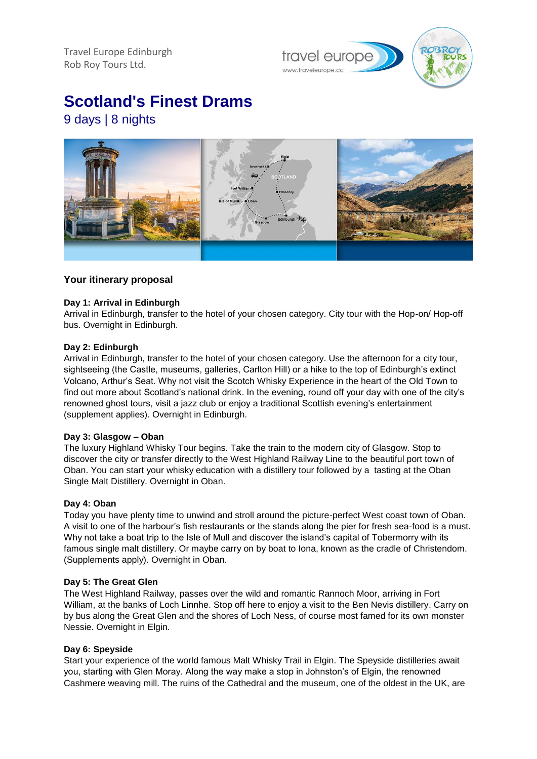Travel Europe Edinburgh Rob Roy Tours Ltd.

travel europe

**Scotland's Finest Drams**

9 days | 8 nights



# **Your itinerary proposal**

## **Day 1: Arrival in Edinburgh**

Arrival in Edinburgh, transfer to the hotel of your chosen category. City tour with the Hop-on/ Hop-off bus. Overnight in Edinburgh.

### **Day 2: Edinburgh**

Arrival in Edinburgh, transfer to the hotel of your chosen category. Use the afternoon for a city tour, sightseeing (the Castle, museums, galleries, Carlton Hill) or a hike to the top of Edinburgh's extinct Volcano, Arthur's Seat. Why not visit the Scotch Whisky Experience in the heart of the Old Town to find out more about Scotland's national drink. In the evening, round off your day with one of the city's renowned ghost tours, visit a jazz club or enjoy a traditional Scottish evening's entertainment (supplement applies). Overnight in Edinburgh.

#### **Day 3: Glasgow – Oban**

The luxury Highland Whisky Tour begins. Take the train to the modern city of Glasgow. Stop to discover the city or transfer directly to the West Highland Railway Line to the beautiful port town of Oban. You can start your whisky education with a distillery tour followed by a tasting at the Oban Single Malt Distillery. Overnight in Oban.

#### **Day 4: Oban**

Today you have plenty time to unwind and stroll around the picture-perfect West coast town of Oban. A visit to one of the harbour's fish restaurants or the stands along the pier for fresh sea-food is a must. Why not take a boat trip to the Isle of Mull and discover the island's capital of Tobermorry with its famous single malt distillery. Or maybe carry on by boat to Iona, known as the cradle of Christendom. (Supplements apply). Overnight in Oban.

#### **Day 5: The Great Glen**

The West Highland Railway, passes over the wild and romantic Rannoch Moor, arriving in Fort William, at the banks of Loch Linnhe. Stop off here to enjoy a visit to the Ben Nevis distillery. Carry on by bus along the Great Glen and the shores of Loch Ness, of course most famed for its own monster Nessie. Overnight in Elgin.

## **Day 6: Speyside**

Start your experience of the world famous Malt Whisky Trail in Elgin. The Speyside distilleries await you, starting with Glen Moray. Along the way make a stop in Johnston's of Elgin, the renowned Cashmere weaving mill. The ruins of the Cathedral and the museum, one of the oldest in the UK, are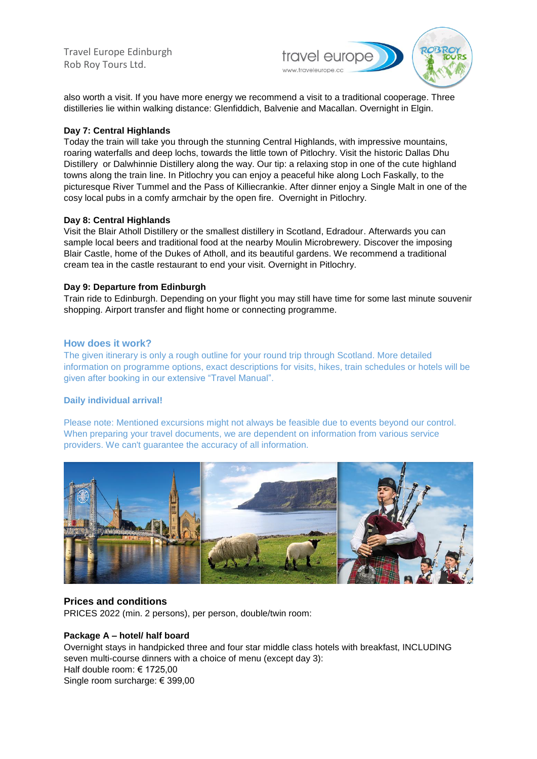Travel Europe Edinburgh Rob Roy Tours Ltd.



also worth a visit. If you have more energy we recommend a visit to a traditional cooperage. Three distilleries lie within walking distance: Glenfiddich, Balvenie and Macallan. Overnight in Elgin.

#### **Day 7: Central Highlands**

Today the train will take you through the stunning Central Highlands, with impressive mountains, roaring waterfalls and deep lochs, towards the little town of Pitlochry. Visit the historic Dallas Dhu Distillery or Dalwhinnie Distillery along the way. Our tip: a relaxing stop in one of the cute highland towns along the train line. In Pitlochry you can enjoy a peaceful hike along Loch Faskally, to the picturesque River Tummel and the Pass of Killiecrankie. After dinner enjoy a Single Malt in one of the cosy local pubs in a comfy armchair by the open fire. Overnight in Pitlochry.

### **Day 8: Central Highlands**

Visit the Blair Atholl Distillery or the smallest distillery in Scotland, Edradour. Afterwards you can sample local beers and traditional food at the nearby Moulin Microbrewery. Discover the imposing Blair Castle, home of the Dukes of Atholl, and its beautiful gardens. We recommend a traditional cream tea in the castle restaurant to end your visit. Overnight in Pitlochry.

### **Day 9: Departure from Edinburgh**

Train ride to Edinburgh. Depending on your flight you may still have time for some last minute souvenir shopping. Airport transfer and flight home or connecting programme.

### **How does it work?**

The given itinerary is only a rough outline for your round trip through Scotland. More detailed information on programme options, exact descriptions for visits, hikes, train schedules or hotels will be given after booking in our extensive "Travel Manual".

## **Daily individual arrival!**

Please note: Mentioned excursions might not always be feasible due to events beyond our control. When preparing your travel documents, we are dependent on information from various service providers. We can't guarantee the accuracy of all information.



## **Prices and conditions**

PRICES 2022 (min. 2 persons), per person, double/twin room:

## **Package A – hotel/ half board**

Overnight stays in handpicked three and four star middle class hotels with breakfast, INCLUDING seven multi-course dinners with a choice of menu (except day 3): Half double room: € 1725,00 Single room surcharge: € 399,00